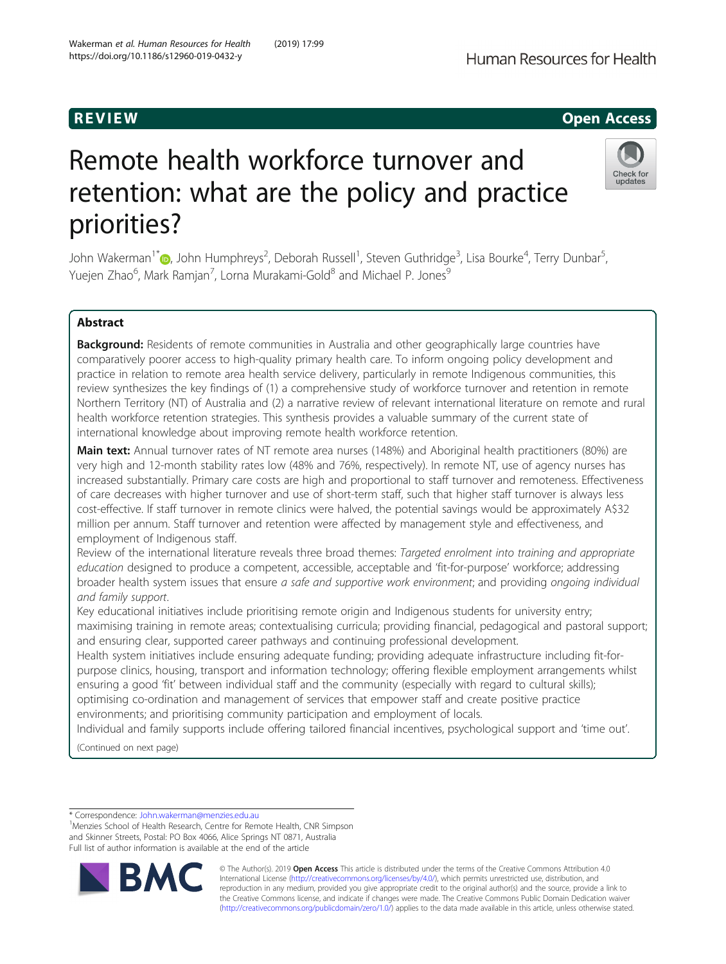## R EVI EW Open Access

# Remote health workforce turnover and retention: what are the policy and practice priorities?

John Wakerman<sup>1[\\*](http://orcid.org/0000-0002-8546-5434)</sup>�, John Humphreys<sup>2</sup>, Deborah Russell<sup>1</sup>, Steven Guthridge<sup>3</sup>, Lisa Bourke<sup>4</sup>, Terry Dunbar<sup>5</sup> , Yuejen Zhao<sup>6</sup>, Mark Ramjan<sup>7</sup>, Lorna Murakami-Gold<sup>8</sup> and Michael P. Jones<sup>9</sup>

## Abstract

Background: Residents of remote communities in Australia and other geographically large countries have comparatively poorer access to high-quality primary health care. To inform ongoing policy development and practice in relation to remote area health service delivery, particularly in remote Indigenous communities, this review synthesizes the key findings of (1) a comprehensive study of workforce turnover and retention in remote Northern Territory (NT) of Australia and (2) a narrative review of relevant international literature on remote and rural health workforce retention strategies. This synthesis provides a valuable summary of the current state of international knowledge about improving remote health workforce retention.

Main text: Annual turnover rates of NT remote area nurses (148%) and Aboriginal health practitioners (80%) are very high and 12-month stability rates low (48% and 76%, respectively). In remote NT, use of agency nurses has increased substantially. Primary care costs are high and proportional to staff turnover and remoteness. Effectiveness of care decreases with higher turnover and use of short-term staff, such that higher staff turnover is always less cost-effective. If staff turnover in remote clinics were halved, the potential savings would be approximately A\$32 million per annum. Staff turnover and retention were affected by management style and effectiveness, and employment of Indigenous staff.

Review of the international literature reveals three broad themes: Targeted enrolment into training and appropriate education designed to produce a competent, accessible, acceptable and 'fit-for-purpose' workforce; addressing broader health system issues that ensure a safe and supportive work environment; and providing ongoing individual and family support.

Key educational initiatives include prioritising remote origin and Indigenous students for university entry; maximising training in remote areas; contextualising curricula; providing financial, pedagogical and pastoral support; and ensuring clear, supported career pathways and continuing professional development.

Health system initiatives include ensuring adequate funding; providing adequate infrastructure including fit-forpurpose clinics, housing, transport and information technology; offering flexible employment arrangements whilst ensuring a good 'fit' between individual staff and the community (especially with regard to cultural skills); optimising co-ordination and management of services that empower staff and create positive practice environments; and prioritising community participation and employment of locals.

Individual and family supports include offering tailored financial incentives, psychological support and 'time out'.

(Continued on next page)

\* Correspondence: [John.wakerman@menzies.edu.au](mailto:John.wakerman@menzies.edu.au) <sup>1</sup>

© The Author(s). 2019 **Open Access** This article is distributed under the terms of the Creative Commons Attribution 4.0 International License [\(http://creativecommons.org/licenses/by/4.0/](http://creativecommons.org/licenses/by/4.0/)), which permits unrestricted use, distribution, and reproduction in any medium, provided you give appropriate credit to the original author(s) and the source, provide a link to the Creative Commons license, and indicate if changes were made. The Creative Commons Public Domain Dedication waiver [\(http://creativecommons.org/publicdomain/zero/1.0/](http://creativecommons.org/publicdomain/zero/1.0/)) applies to the data made available in this article, unless otherwise stated.





<sup>&</sup>lt;sup>1</sup>Menzies School of Health Research, Centre for Remote Health, CNR Simpson and Skinner Streets, Postal: PO Box 4066, Alice Springs NT 0871, Australia Full list of author information is available at the end of the article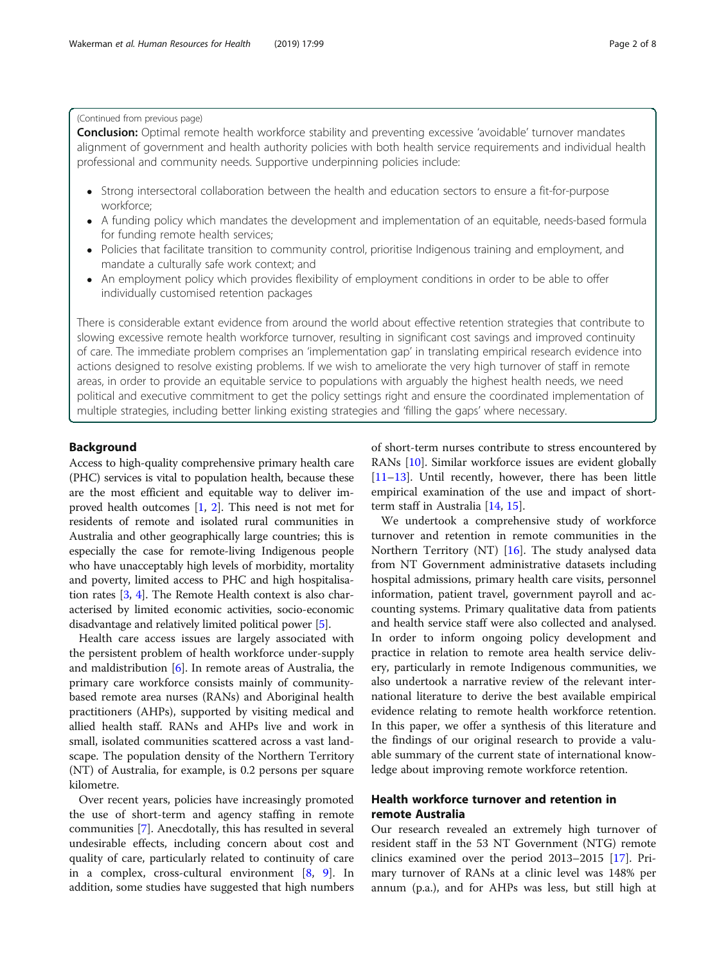#### (Continued from previous page)

**Conclusion:** Optimal remote health workforce stability and preventing excessive 'avoidable' turnover mandates alignment of government and health authority policies with both health service requirements and individual health professional and community needs. Supportive underpinning policies include:

- Strong intersectoral collaboration between the health and education sectors to ensure a fit-for-purpose workforce;
- A funding policy which mandates the development and implementation of an equitable, needs-based formula for funding remote health services;
- Policies that facilitate transition to community control, prioritise Indigenous training and employment, and mandate a culturally safe work context; and
- An employment policy which provides flexibility of employment conditions in order to be able to offer individually customised retention packages

There is considerable extant evidence from around the world about effective retention strategies that contribute to slowing excessive remote health workforce turnover, resulting in significant cost savings and improved continuity of care. The immediate problem comprises an 'implementation gap' in translating empirical research evidence into actions designed to resolve existing problems. If we wish to ameliorate the very high turnover of staff in remote areas, in order to provide an equitable service to populations with arguably the highest health needs, we need political and executive commitment to get the policy settings right and ensure the coordinated implementation of multiple strategies, including better linking existing strategies and 'filling the gaps' where necessary.

## Background

Access to high-quality comprehensive primary health care (PHC) services is vital to population health, because these are the most efficient and equitable way to deliver improved health outcomes [[1](#page-6-0), [2](#page-6-0)]. This need is not met for residents of remote and isolated rural communities in Australia and other geographically large countries; this is especially the case for remote-living Indigenous people who have unacceptably high levels of morbidity, mortality and poverty, limited access to PHC and high hospitalisation rates [\[3](#page-6-0), [4](#page-6-0)]. The Remote Health context is also characterised by limited economic activities, socio-economic disadvantage and relatively limited political power [[5\]](#page-6-0).

Health care access issues are largely associated with the persistent problem of health workforce under-supply and maldistribution [[6\]](#page-6-0). In remote areas of Australia, the primary care workforce consists mainly of communitybased remote area nurses (RANs) and Aboriginal health practitioners (AHPs), supported by visiting medical and allied health staff. RANs and AHPs live and work in small, isolated communities scattered across a vast landscape. The population density of the Northern Territory (NT) of Australia, for example, is 0.2 persons per square kilometre.

Over recent years, policies have increasingly promoted the use of short-term and agency staffing in remote communities [[7\]](#page-6-0). Anecdotally, this has resulted in several undesirable effects, including concern about cost and quality of care, particularly related to continuity of care in a complex, cross-cultural environment [[8,](#page-6-0) [9\]](#page-6-0). In addition, some studies have suggested that high numbers

of short-term nurses contribute to stress encountered by RANs [[10](#page-6-0)]. Similar workforce issues are evident globally [[11](#page-6-0)–[13](#page-6-0)]. Until recently, however, there has been little empirical examination of the use and impact of shortterm staff in Australia [[14,](#page-6-0) [15\]](#page-6-0).

We undertook a comprehensive study of workforce turnover and retention in remote communities in the Northern Territory (NT) [[16](#page-6-0)]. The study analysed data from NT Government administrative datasets including hospital admissions, primary health care visits, personnel information, patient travel, government payroll and accounting systems. Primary qualitative data from patients and health service staff were also collected and analysed. In order to inform ongoing policy development and practice in relation to remote area health service delivery, particularly in remote Indigenous communities, we also undertook a narrative review of the relevant international literature to derive the best available empirical evidence relating to remote health workforce retention. In this paper, we offer a synthesis of this literature and the findings of our original research to provide a valuable summary of the current state of international knowledge about improving remote workforce retention.

## Health workforce turnover and retention in remote Australia

Our research revealed an extremely high turnover of resident staff in the 53 NT Government (NTG) remote clinics examined over the period 2013–2015 [\[17](#page-6-0)]. Primary turnover of RANs at a clinic level was 148% per annum (p.a.), and for AHPs was less, but still high at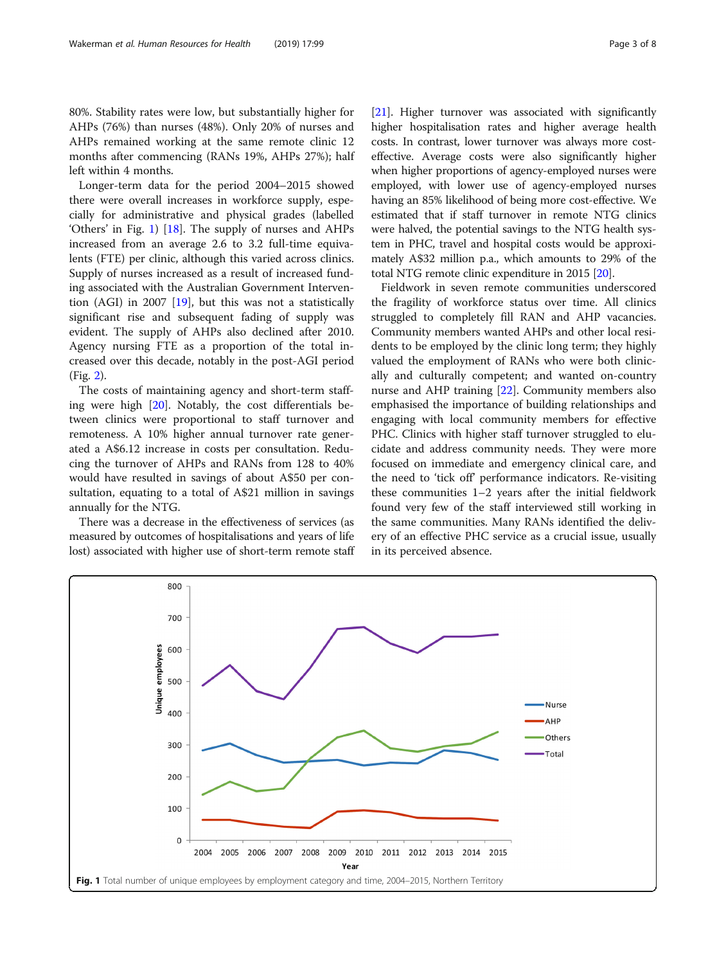80%. Stability rates were low, but substantially higher for AHPs (76%) than nurses (48%). Only 20% of nurses and AHPs remained working at the same remote clinic 12 months after commencing (RANs 19%, AHPs 27%); half left within 4 months.

Longer-term data for the period 2004–2015 showed there were overall increases in workforce supply, especially for administrative and physical grades (labelled 'Others' in Fig. 1) [\[18](#page-6-0)]. The supply of nurses and AHPs increased from an average 2.6 to 3.2 full-time equivalents (FTE) per clinic, although this varied across clinics. Supply of nurses increased as a result of increased funding associated with the Australian Government Intervention (AGI) in 2007 [\[19\]](#page-6-0), but this was not a statistically significant rise and subsequent fading of supply was evident. The supply of AHPs also declined after 2010. Agency nursing FTE as a proportion of the total increased over this decade, notably in the post-AGI period (Fig. [2](#page-3-0)).

The costs of maintaining agency and short-term staffing were high [\[20\]](#page-6-0). Notably, the cost differentials between clinics were proportional to staff turnover and remoteness. A 10% higher annual turnover rate generated a A\$6.12 increase in costs per consultation. Reducing the turnover of AHPs and RANs from 128 to 40% would have resulted in savings of about A\$50 per consultation, equating to a total of A\$21 million in savings annually for the NTG.

There was a decrease in the effectiveness of services (as measured by outcomes of hospitalisations and years of life lost) associated with higher use of short-term remote staff higher hospitalisation rates and higher average health costs. In contrast, lower turnover was always more costeffective. Average costs were also significantly higher when higher proportions of agency-employed nurses were employed, with lower use of agency-employed nurses having an 85% likelihood of being more cost-effective. We estimated that if staff turnover in remote NTG clinics were halved, the potential savings to the NTG health system in PHC, travel and hospital costs would be approximately A\$32 million p.a., which amounts to 29% of the total NTG remote clinic expenditure in 2015 [[20](#page-6-0)].

Fieldwork in seven remote communities underscored the fragility of workforce status over time. All clinics struggled to completely fill RAN and AHP vacancies. Community members wanted AHPs and other local residents to be employed by the clinic long term; they highly valued the employment of RANs who were both clinically and culturally competent; and wanted on-country nurse and AHP training [[22\]](#page-6-0). Community members also emphasised the importance of building relationships and engaging with local community members for effective PHC. Clinics with higher staff turnover struggled to elucidate and address community needs. They were more focused on immediate and emergency clinical care, and the need to 'tick off' performance indicators. Re-visiting these communities 1–2 years after the initial fieldwork found very few of the staff interviewed still working in the same communities. Many RANs identified the delivery of an effective PHC service as a crucial issue, usually in its perceived absence.

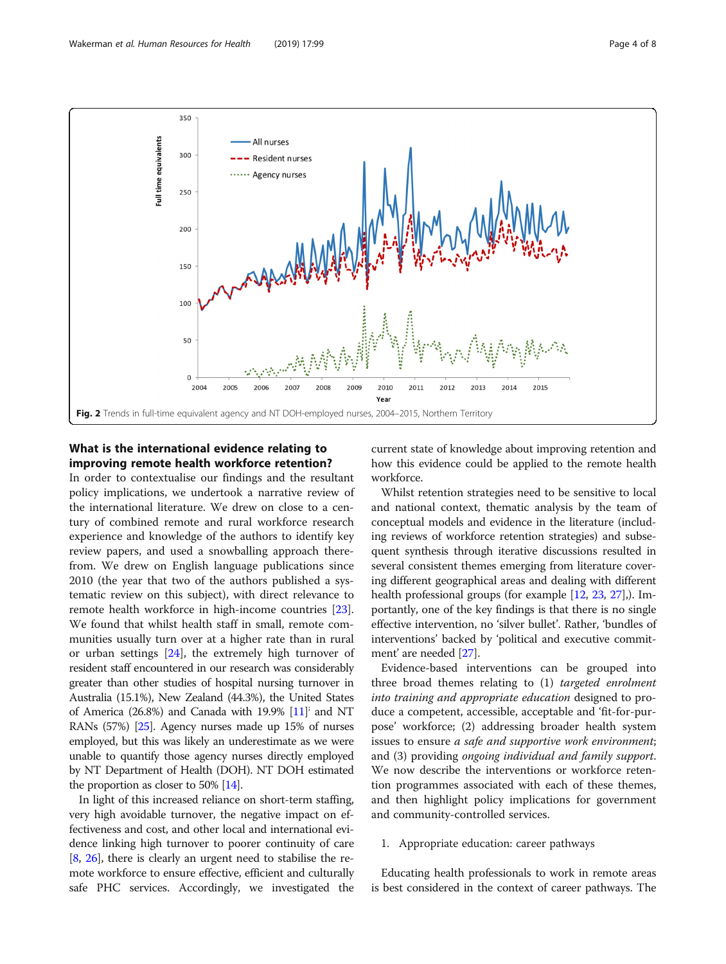<span id="page-3-0"></span>Wakerman et al. Human Resources for Health (2019) 17:99 Page 4 of 8



## What is the international evidence relating to improving remote health workforce retention?

In order to contextualise our findings and the resultant policy implications, we undertook a narrative review of the international literature. We drew on close to a century of combined remote and rural workforce research experience and knowledge of the authors to identify key review papers, and used a snowballing approach therefrom. We drew on English language publications since 2010 (the year that two of the authors published a systematic review on this subject), with direct relevance to remote health workforce in high-income countries [\[23](#page-6-0)]. We found that whilst health staff in small, remote communities usually turn over at a higher rate than in rural or urban settings [[24\]](#page-6-0), the extremely high turnover of resident staff encountered in our research was considerably greater than other studies of hospital nursing turnover in Australia (15.1%), New Zealand (44.3%), the United States of America (26.8%) and Canada with 19.9% [[11\]](#page-6-0)<sup>;</sup> and NT RANs (57%) [\[25\]](#page-6-0). Agency nurses made up 15% of nurses employed, but this was likely an underestimate as we were unable to quantify those agency nurses directly employed by NT Department of Health (DOH). NT DOH estimated the proportion as closer to 50%  $[14]$  $[14]$ .

In light of this increased reliance on short-term staffing, very high avoidable turnover, the negative impact on effectiveness and cost, and other local and international evidence linking high turnover to poorer continuity of care [[8,](#page-6-0) [26\]](#page-6-0), there is clearly an urgent need to stabilise the remote workforce to ensure effective, efficient and culturally safe PHC services. Accordingly, we investigated the

current state of knowledge about improving retention and how this evidence could be applied to the remote health workforce.

Whilst retention strategies need to be sensitive to local and national context, thematic analysis by the team of conceptual models and evidence in the literature (including reviews of workforce retention strategies) and subsequent synthesis through iterative discussions resulted in several consistent themes emerging from literature covering different geographical areas and dealing with different health professional groups (for example [\[12,](#page-6-0) [23](#page-6-0), [27](#page-6-0)],). Importantly, one of the key findings is that there is no single effective intervention, no 'silver bullet'. Rather, 'bundles of interventions' backed by 'political and executive commitment' are needed [\[27\]](#page-6-0).

Evidence-based interventions can be grouped into three broad themes relating to (1) targeted enrolment into training and appropriate education designed to produce a competent, accessible, acceptable and 'fit-for-purpose' workforce; (2) addressing broader health system issues to ensure a safe and supportive work environment; and (3) providing ongoing individual and family support. We now describe the interventions or workforce retention programmes associated with each of these themes, and then highlight policy implications for government and community-controlled services.

## 1. Appropriate education: career pathways

Educating health professionals to work in remote areas is best considered in the context of career pathways. The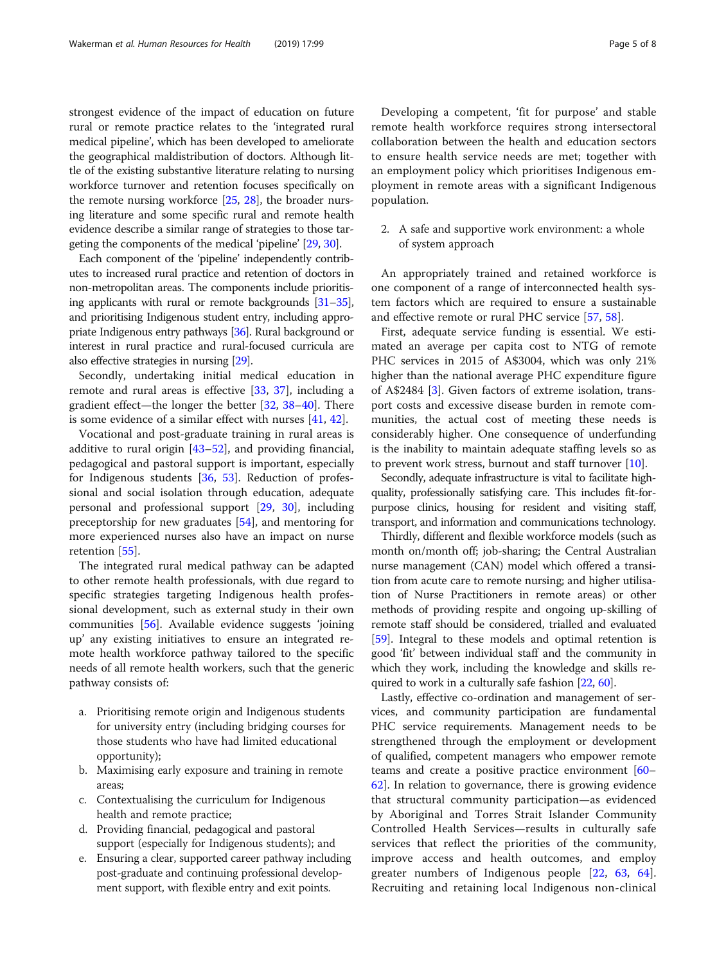strongest evidence of the impact of education on future rural or remote practice relates to the 'integrated rural medical pipeline', which has been developed to ameliorate the geographical maldistribution of doctors. Although little of the existing substantive literature relating to nursing workforce turnover and retention focuses specifically on the remote nursing workforce [\[25,](#page-6-0) [28\]](#page-6-0), the broader nursing literature and some specific rural and remote health evidence describe a similar range of strategies to those targeting the components of the medical 'pipeline' [\[29](#page-6-0), [30](#page-7-0)].

Each component of the 'pipeline' independently contributes to increased rural practice and retention of doctors in non-metropolitan areas. The components include prioritising applicants with rural or remote backgrounds [[31](#page-7-0)–[35](#page-7-0)], and prioritising Indigenous student entry, including appropriate Indigenous entry pathways [\[36\]](#page-7-0). Rural background or interest in rural practice and rural-focused curricula are also effective strategies in nursing [\[29\]](#page-6-0).

Secondly, undertaking initial medical education in remote and rural areas is effective [[33](#page-7-0), [37](#page-7-0)], including a gradient effect—the longer the better [[32](#page-7-0), [38](#page-7-0)–[40\]](#page-7-0). There is some evidence of a similar effect with nurses [[41,](#page-7-0) [42\]](#page-7-0).

Vocational and post-graduate training in rural areas is additive to rural origin  $[43-52]$  $[43-52]$  $[43-52]$ , and providing financial, pedagogical and pastoral support is important, especially for Indigenous students [[36](#page-7-0), [53](#page-7-0)]. Reduction of professional and social isolation through education, adequate personal and professional support [\[29](#page-6-0), [30](#page-7-0)], including preceptorship for new graduates [\[54](#page-7-0)], and mentoring for more experienced nurses also have an impact on nurse retention [\[55\]](#page-7-0).

The integrated rural medical pathway can be adapted to other remote health professionals, with due regard to specific strategies targeting Indigenous health professional development, such as external study in their own communities [\[56\]](#page-7-0). Available evidence suggests 'joining up' any existing initiatives to ensure an integrated remote health workforce pathway tailored to the specific needs of all remote health workers, such that the generic pathway consists of:

- a. Prioritising remote origin and Indigenous students for university entry (including bridging courses for those students who have had limited educational opportunity);
- b. Maximising early exposure and training in remote areas;
- c. Contextualising the curriculum for Indigenous health and remote practice;
- d. Providing financial, pedagogical and pastoral support (especially for Indigenous students); and
- e. Ensuring a clear, supported career pathway including post-graduate and continuing professional development support, with flexible entry and exit points.

Developing a competent, 'fit for purpose' and stable remote health workforce requires strong intersectoral collaboration between the health and education sectors to ensure health service needs are met; together with an employment policy which prioritises Indigenous employment in remote areas with a significant Indigenous population.

2. A safe and supportive work environment: a whole of system approach

An appropriately trained and retained workforce is one component of a range of interconnected health system factors which are required to ensure a sustainable and effective remote or rural PHC service [[57,](#page-7-0) [58\]](#page-7-0).

First, adequate service funding is essential. We estimated an average per capita cost to NTG of remote PHC services in 2015 of A\$3004, which was only 21% higher than the national average PHC expenditure figure of A\$2484 [\[3](#page-6-0)]. Given factors of extreme isolation, transport costs and excessive disease burden in remote communities, the actual cost of meeting these needs is considerably higher. One consequence of underfunding is the inability to maintain adequate staffing levels so as to prevent work stress, burnout and staff turnover [\[10](#page-6-0)].

Secondly, adequate infrastructure is vital to facilitate highquality, professionally satisfying care. This includes fit-forpurpose clinics, housing for resident and visiting staff, transport, and information and communications technology.

Thirdly, different and flexible workforce models (such as month on/month off; job-sharing; the Central Australian nurse management (CAN) model which offered a transition from acute care to remote nursing; and higher utilisation of Nurse Practitioners in remote areas) or other methods of providing respite and ongoing up-skilling of remote staff should be considered, trialled and evaluated [[59](#page-7-0)]. Integral to these models and optimal retention is good 'fit' between individual staff and the community in which they work, including the knowledge and skills required to work in a culturally safe fashion [[22](#page-6-0), [60\]](#page-7-0).

Lastly, effective co-ordination and management of services, and community participation are fundamental PHC service requirements. Management needs to be strengthened through the employment or development of qualified, competent managers who empower remote teams and create a positive practice environment [[60](#page-7-0)– [62\]](#page-7-0). In relation to governance, there is growing evidence that structural community participation—as evidenced by Aboriginal and Torres Strait Islander Community Controlled Health Services—results in culturally safe services that reflect the priorities of the community, improve access and health outcomes, and employ greater numbers of Indigenous people [\[22](#page-6-0), [63,](#page-7-0) [64](#page-7-0)]. Recruiting and retaining local Indigenous non-clinical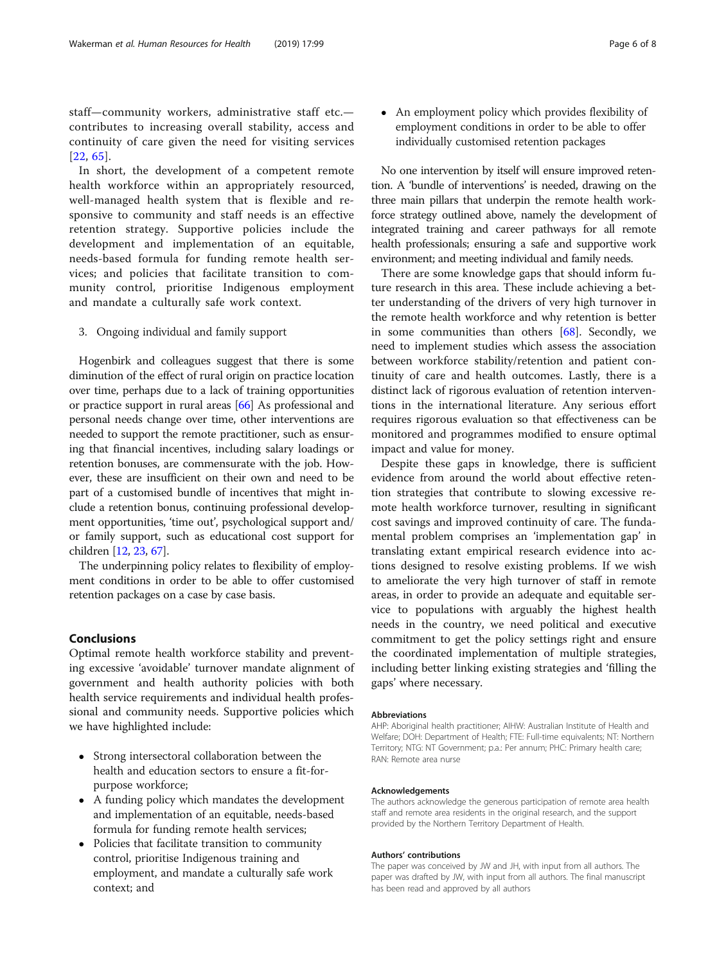staff—community workers, administrative staff etc. contributes to increasing overall stability, access and continuity of care given the need for visiting services [[22](#page-6-0), [65\]](#page-7-0).

In short, the development of a competent remote health workforce within an appropriately resourced, well-managed health system that is flexible and responsive to community and staff needs is an effective retention strategy. Supportive policies include the development and implementation of an equitable, needs-based formula for funding remote health services; and policies that facilitate transition to community control, prioritise Indigenous employment and mandate a culturally safe work context.

3. Ongoing individual and family support

Hogenbirk and colleagues suggest that there is some diminution of the effect of rural origin on practice location over time, perhaps due to a lack of training opportunities or practice support in rural areas [[66](#page-7-0)] As professional and personal needs change over time, other interventions are needed to support the remote practitioner, such as ensuring that financial incentives, including salary loadings or retention bonuses, are commensurate with the job. However, these are insufficient on their own and need to be part of a customised bundle of incentives that might include a retention bonus, continuing professional development opportunities, 'time out', psychological support and/ or family support, such as educational cost support for children [\[12,](#page-6-0) [23](#page-6-0), [67\]](#page-7-0).

The underpinning policy relates to flexibility of employment conditions in order to be able to offer customised retention packages on a case by case basis.

#### Conclusions

Optimal remote health workforce stability and preventing excessive 'avoidable' turnover mandate alignment of government and health authority policies with both health service requirements and individual health professional and community needs. Supportive policies which we have highlighted include:

- Strong intersectoral collaboration between the health and education sectors to ensure a fit-forpurpose workforce;
- A funding policy which mandates the development and implementation of an equitable, needs-based formula for funding remote health services;
- Policies that facilitate transition to community control, prioritise Indigenous training and employment, and mandate a culturally safe work context; and

 An employment policy which provides flexibility of employment conditions in order to be able to offer individually customised retention packages

No one intervention by itself will ensure improved retention. A 'bundle of interventions' is needed, drawing on the three main pillars that underpin the remote health workforce strategy outlined above, namely the development of integrated training and career pathways for all remote health professionals; ensuring a safe and supportive work environment; and meeting individual and family needs.

There are some knowledge gaps that should inform future research in this area. These include achieving a better understanding of the drivers of very high turnover in the remote health workforce and why retention is better in some communities than others [\[68](#page-7-0)]. Secondly, we need to implement studies which assess the association between workforce stability/retention and patient continuity of care and health outcomes. Lastly, there is a distinct lack of rigorous evaluation of retention interventions in the international literature. Any serious effort requires rigorous evaluation so that effectiveness can be monitored and programmes modified to ensure optimal impact and value for money.

Despite these gaps in knowledge, there is sufficient evidence from around the world about effective retention strategies that contribute to slowing excessive remote health workforce turnover, resulting in significant cost savings and improved continuity of care. The fundamental problem comprises an 'implementation gap' in translating extant empirical research evidence into actions designed to resolve existing problems. If we wish to ameliorate the very high turnover of staff in remote areas, in order to provide an adequate and equitable service to populations with arguably the highest health needs in the country, we need political and executive commitment to get the policy settings right and ensure the coordinated implementation of multiple strategies, including better linking existing strategies and 'filling the gaps' where necessary.

#### Abbreviations

AHP: Aboriginal health practitioner; AIHW: Australian Institute of Health and Welfare; DOH: Department of Health; FTE: Full-time equivalents; NT: Northern Territory; NTG: NT Government; p.a.: Per annum; PHC: Primary health care; RAN: Remote area nurse

#### Acknowledgements

The authors acknowledge the generous participation of remote area health staff and remote area residents in the original research, and the support provided by the Northern Territory Department of Health.

#### Authors' contributions

The paper was conceived by JW and JH, with input from all authors. The paper was drafted by JW, with input from all authors. The final manuscript has been read and approved by all authors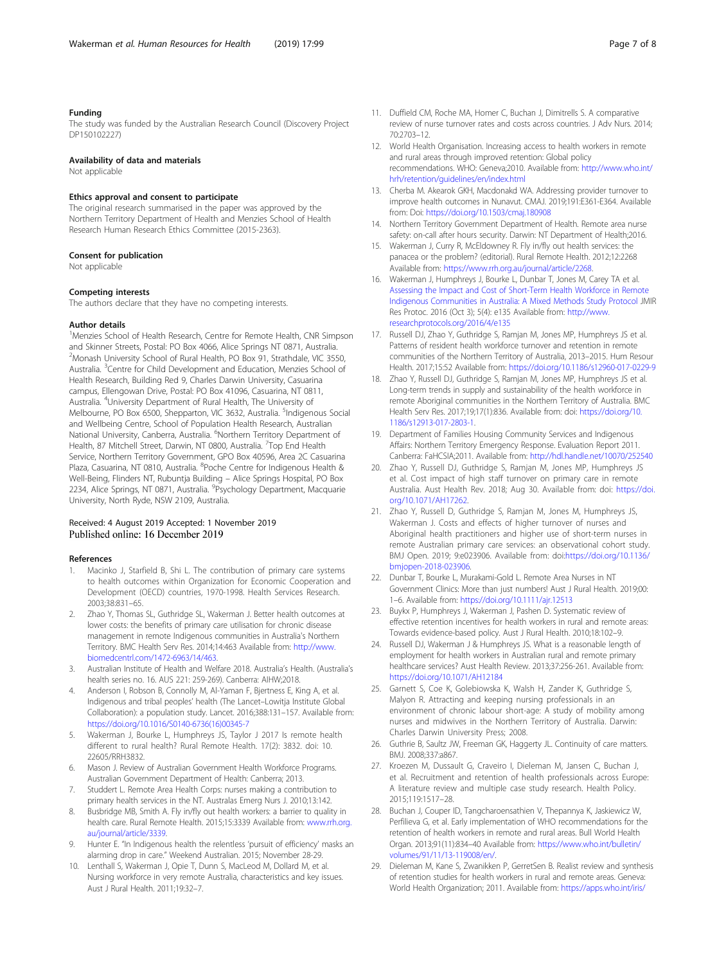#### <span id="page-6-0"></span>Funding

The study was funded by the Australian Research Council (Discovery Project DP150102227)

#### Availability of data and materials

Not applicable

#### Ethics approval and consent to participate

The original research summarised in the paper was approved by the Northern Territory Department of Health and Menzies School of Health Research Human Research Ethics Committee (2015-2363).

#### Consent for publication

Not applicable

#### Competing interests

The authors declare that they have no competing interests.

#### Author details

<sup>1</sup>Menzies School of Health Research, Centre for Remote Health, CNR Simpson and Skinner Streets, Postal: PO Box 4066, Alice Springs NT 0871, Australia. <sup>2</sup> Monash University School of Rural Health, PO Box 91, Strathdale, VIC 3550, Australia. <sup>3</sup>Centre for Child Development and Education, Menzies School of Health Research, Building Red 9, Charles Darwin University, Casuarina campus, Ellengowan Drive, Postal: PO Box 41096, Casuarina, NT 0811, Australia. <sup>4</sup> University Department of Rural Health, The University of Melbourne, PO Box 6500, Shepparton, VIC 3632, Australia. <sup>5</sup>Indigenous Social and Wellbeing Centre, School of Population Health Research, Australian National University, Canberra, Australia. <sup>6</sup>Northern Territory Department of Health, 87 Mitchell Street, Darwin, NT 0800, Australia. <sup>7</sup>Top End Health Service, Northern Territory Government, GPO Box 40596, Area 2C Casuarina Plaza, Casuarina, NT 0810, Australia. <sup>8</sup>Poche Centre for Indigenous Health & Well-Being, Flinders NT, Rubuntja Building – Alice Springs Hospital, PO Box 2234, Alice Springs, NT 0871, Australia. <sup>9</sup> Psychology Department, Macquarie University, North Ryde, NSW 2109, Australia.

## Received: 4 August 2019 Accepted: 1 November 2019 Published online: 16 December 2019

#### References

- 1. Macinko J, Starfield B, Shi L. The contribution of primary care systems to health outcomes within Organization for Economic Cooperation and Development (OECD) countries, 1970-1998. Health Services Research. 2003;38:831–65.
- Zhao Y, Thomas SL, Guthridge SL, Wakerman J. Better health outcomes at lower costs: the benefits of primary care utilisation for chronic disease management in remote Indigenous communities in Australia's Northern Territory. BMC Health Serv Res. 2014;14:463 Available from: [http://www.](http://www.biomedcentrl.com/1472-6963/14/463) [biomedcentrl.com/1472-6963/14/463.](http://www.biomedcentrl.com/1472-6963/14/463)
- 3. Australian Institute of Health and Welfare 2018. Australia's Health. (Australia's health series no. 16. AUS 221: 259-269). Canberra: AIHW;2018.
- Anderson I, Robson B, Connolly M, Al-Yaman F, Bjertness E, King A, et al. Indigenous and tribal peoples' health (The Lancet–Lowitja Institute Global Collaboration): a population study. Lancet. 2016;388:131–157. Available from: [https://doi.org/10.1016/S0140-6736\(16\)00345-7](https://doi.org/10.1016/S0140-6736(16)00345-7)
- 5. Wakerman J, Bourke L, Humphreys JS, Taylor J 2017 Is remote health different to rural health? Rural Remote Health. 17(2): 3832. doi: 10. 22605/RRH3832.
- 6. Mason J. Review of Australian Government Health Workforce Programs. Australian Government Department of Health: Canberra; 2013.
- Studdert L. Remote Area Health Corps: nurses making a contribution to primary health services in the NT. Australas Emerg Nurs J. 2010;13:142.
- 8. Busbridge MB, Smith A. Fly in/fly out health workers: a barrier to quality in health care. Rural Remote Health. 2015;15:3339 Available from: [www.rrh.org.](http://www.rrh.org.au/journal/article/3339) [au/journal/article/3339](http://www.rrh.org.au/journal/article/3339).
- Hunter E. "In Indigenous health the relentless 'pursuit of efficiency' masks an alarming drop in care." Weekend Australian. 2015; November 28-29.
- 10. Lenthall S, Wakerman J, Opie T, Dunn S, MacLeod M, Dollard M, et al. Nursing workforce in very remote Australia, characteristics and key issues. Aust J Rural Health. 2011;19:32–7.
- 11. Duffield CM, Roche MA, Homer C, Buchan J, Dimitrells S. A comparative review of nurse turnover rates and costs across countries. J Adv Nurs. 2014; 70:2703–12.
- 12. World Health Organisation. Increasing access to health workers in remote and rural areas through improved retention: Global policy recommendations. WHO: Geneva;2010. Available from: [http://www.who.int/](http://www.who.int/hrh/retention/guidelines/en/index.html) [hrh/retention/guidelines/en/index.html](http://www.who.int/hrh/retention/guidelines/en/index.html)
- 13. Cherba M. Akearok GKH, Macdonakd WA. Addressing provider turnover to improve health outcomes in Nunavut. CMAJ. 2019;191:E361-E364. Available from: Doi: <https://doi.org/10.1503/cmaj.180908>
- 14. Northern Territory Government Department of Health. Remote area nurse safety: on-call after hours security. Darwin: NT Department of Health;2016.
- 15. Wakerman J, Curry R, McEldowney R. Fly in/fly out health services: the panacea or the problem? (editorial). Rural Remote Health. 2012;12:2268 Available from: [https://www.rrh.org.au/journal/article/2268.](https://www.rrh.org.au/journal/article/2268)
- 16. Wakerman J, Humphreys J, Bourke L, Dunbar T, Jones M, Carey TA et al. [Assessing the Impact and Cost of Short-Term Health Workforce in Remote](http://jmir.us6.list-manage1.com/track/click?u=fc0ad3d4d3108cf6a761892f9&id=8349916555&e=e14a985713) [Indigenous Communities in Australia: A Mixed Methods Study Protocol](http://jmir.us6.list-manage1.com/track/click?u=fc0ad3d4d3108cf6a761892f9&id=8349916555&e=e14a985713) JMIR Res Protoc. 2016 (Oct 3); 5(4): e135 Available from: [http://www.](http://jmir.us6.list-manage.com/track/click?u=fc0ad3d4d3108cf6a761892f9&id=6770ee0a8e&e=e14a985713) [researchprotocols.org/2016/4/e135](http://jmir.us6.list-manage.com/track/click?u=fc0ad3d4d3108cf6a761892f9&id=6770ee0a8e&e=e14a985713)
- 17. Russell DJ, Zhao Y, Guthridge S, Ramjan M, Jones MP, Humphreys JS et al. Patterns of resident health workforce turnover and retention in remote communities of the Northern Territory of Australia, 2013–2015. Hum Resour Health. 2017;15:52 Available from: <https://doi.org/10.1186/s12960-017-0229-9>
- 18. Zhao Y, Russell DJ, Guthridge S, Ramjan M, Jones MP, Humphreys JS et al. Long-term trends in supply and sustainability of the health workforce in remote Aboriginal communities in the Northern Territory of Australia. BMC Health Serv Res. 2017;19;17(1):836. Available from: doi: [https://doi.org/10.](https://doi.org/10.1186/s12913-017-2803-1) [1186/s12913-017-2803-1](https://doi.org/10.1186/s12913-017-2803-1).
- 19. Department of Families Housing Community Services and Indigenous Affairs: Northern Territory Emergency Response. Evaluation Report 2011. Canberra: FaHCSIA;2011. Available from: <http://hdl.handle.net/10070/252540>
- 20. Zhao Y, Russell DJ, Guthridge S, Ramjan M, Jones MP, Humphreys JS et al. Cost impact of high staff turnover on primary care in remote Australia. Aust Health Rev. 2018; Aug 30. Available from: doi: [https://doi.](https://doi.org/10.1071/AH17262) [org/10.1071/AH17262](https://doi.org/10.1071/AH17262).
- 21. Zhao Y, Russell D, Guthridge S, Ramjan M, Jones M, Humphreys JS, Wakerman J. Costs and effects of higher turnover of nurses and Aboriginal health practitioners and higher use of short-term nurses in remote Australian primary care services: an observational cohort study. BMJ Open. 2019; 9:e023906. Available from: doi:[https://doi.org/10.1136/](https://doi.org/10.1136/bmjopen-2018-023906) [bmjopen-2018-023906](https://doi.org/10.1136/bmjopen-2018-023906).
- 22. Dunbar T, Bourke L, Murakami-Gold L. Remote Area Nurses in NT Government Clinics: More than just numbers! Aust J Rural Health. 2019;00: 1–6. Available from: <https://doi.org/10.1111/ajr.12513>
- 23. Buykx P, Humphreys J, Wakerman J, Pashen D. Systematic review of effective retention incentives for health workers in rural and remote areas: Towards evidence-based policy. Aust J Rural Health. 2010;18:102–9.
- 24. Russell DJ, Wakerman J & Humphreys JS. What is a reasonable length of employment for health workers in Australian rural and remote primary healthcare services? Aust Health Review. 2013;37:256-261. Available from: <https://doi.org/10.1071/AH12184>
- 25. Garnett S, Coe K, Golebiowska K, Walsh H, Zander K, Guthridge S, Malyon R. Attracting and keeping nursing professionals in an environment of chronic labour short-age: A study of mobility among nurses and midwives in the Northern Territory of Australia. Darwin: Charles Darwin University Press; 2008.
- 26. Guthrie B, Saultz JW, Freeman GK, Haggerty JL. Continuity of care matters. BMJ. 2008;337:a867.
- 27. Kroezen M, Dussault G, Craveiro I, Dieleman M, Jansen C, Buchan J, et al. Recruitment and retention of health professionals across Europe: A literature review and multiple case study research. Health Policy. 2015;119:1517–28.
- 28. Buchan J, Couper ID, Tangcharoensathien V, Thepannya K, Jaskiewicz W, Perfilieva G, et al. Early implementation of WHO recommendations for the retention of health workers in remote and rural areas. Bull World Health Organ. 2013;91(11):834–40 Available from: [https://www.who.int/bulletin/](https://www.who.int/bulletin/volumes/91/11/13-119008/en/) [volumes/91/11/13-119008/en/](https://www.who.int/bulletin/volumes/91/11/13-119008/en/).
- 29. Dieleman M, Kane S, Zwanikken P, GerretSen B. Realist review and synthesis of retention studies for health workers in rural and remote areas. Geneva: World Health Organization; 2011. Available from: [https://apps.who.int/iris/](https://apps.who.int/iris/bitstream/handle/10665/44548/9789241501262_eng.pdf;jsessionid=1D609B8AD01127246B54A2A732738487?sequence=1)